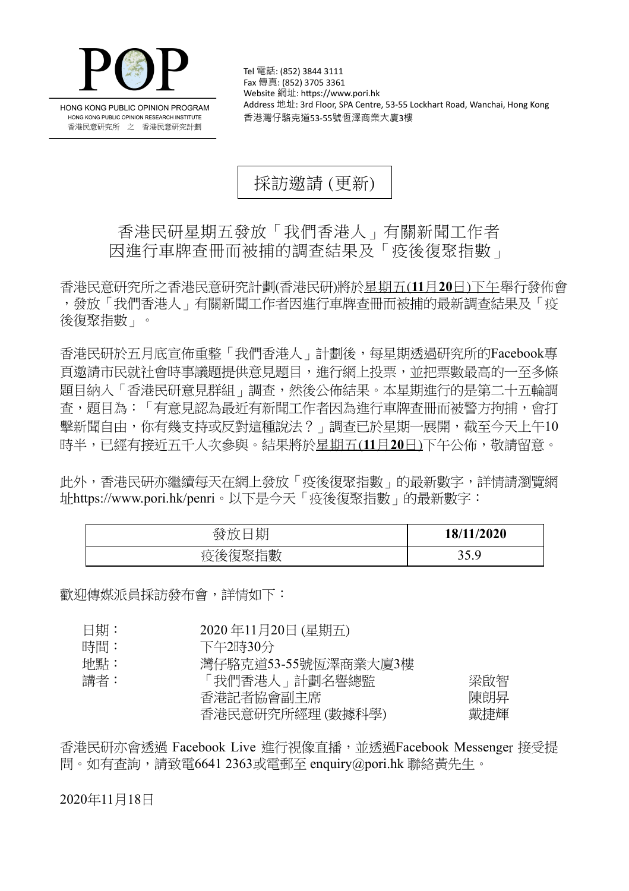

HONG KONG PUBLIC OPINION PROGRAM HONG KONG PUBLIC OPINION RESEARCH INSTITUTE 香港民意研究所 之 香港民意研究計劃

Tel 電話: (852) 3844 3111 Fax 傳真: (852) 3705 3361 Website 網址: https://www.pori.hk Address 地址: 3rd Floor, SPA Centre, 53-55 Lockhart Road, Wanchai, Hong Kong 香港灣仔駱克道53-55號恆澤商業大廈3樓

採訪邀請 (更新)

## 香港民研星期五發放「我們香港人」有關新聞工作者 因進行車牌查冊而被捕的調查結果及「疫後復聚指數」

香港民意研究所之香港民意研究計劃(香港民研)將於星期五(**11**月**20**日)下午舉行發佈會 ,發放「我們香港人」有關新聞工作者因進行車牌查冊而被捕的最新調查結果及「疫 後復聚指數」。

香港民研於五月底宣佈重整「我們香港人」計劃後,每星期透過研究所的Facebook專 頁邀請市民就社會時事議題提供意見題目,進行網上投票,並把票數最高的一至多條 題目納入「香港民研意見群組」調查,然後公佈結果。本星期進行的是第二十五輪調 查,題目為:「有意見認為最近有新聞工作者因為進行車牌查冊而被警方拘捕,會打 擊新聞自由,你有幾支持或反對這種說法?」調查已於星期一展開,截至今天上午10 時半,已經有接近五千人次參與。結果將於星期五(**11**月**20**日)下午公佈,敬請留意。

此外,香港民研亦繼續每天在網上發放「疫後復聚指數」的最新數字,詳情請瀏覽網 址<https://www.pori.hk/penri>。以下是今天「疫後復聚指數」的最新數字:

| 期<br>铵 | 18/11/2020   |
|--------|--------------|
| 疫後復聚指數 | 35 Q<br>JJ.J |

歡迎傳媒派員採訪發布會,詳情如下:

| 日期: | 2020年11月20日 (星期五)   |     |
|-----|---------------------|-----|
| 時間: | 下午2時30分             |     |
| 地點: | 灣仔駱克道53-55號恆澤商業大廈3樓 |     |
| 講者: | 「我們香港人」計劃名譽總監       | 梁啟智 |
|     | 香港記者協會副主席           | 陳朗昇 |
|     | 香港民意研究所經理 (數據科學)    | 戴捷輝 |

香港民研亦會诱過 Facebook Live 淮行視像直播, 並诱過Facebook Messenger 接受提 問。如有查詢,請致電6641 2363或電郵至 enquiry@pori.hk 聯絡黃先生。

2020年11月18日